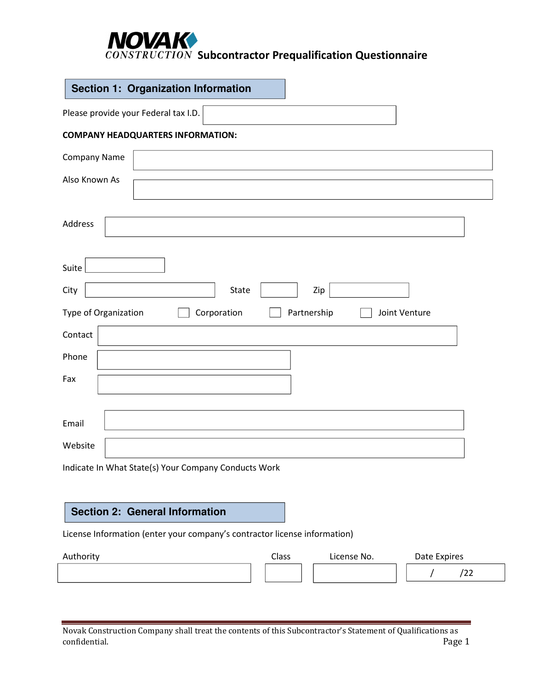### **NOVAK**<br>CONSTRUCTION Subcontractor Prequalification Questionnaire

|                      | Section 1: Organization Information                  |
|----------------------|------------------------------------------------------|
|                      | Please provide your Federal tax I.D.                 |
|                      | <b>COMPANY HEADQUARTERS INFORMATION:</b>             |
| Company Name         |                                                      |
| Also Known As        |                                                      |
| Address              |                                                      |
| Suite                |                                                      |
| City                 | State<br>Zip                                         |
| Type of Organization | Corporation<br>Partnership<br>Joint Venture          |
| Contact              |                                                      |
| Phone                |                                                      |
| Fax                  |                                                      |
| Email                |                                                      |
| Website              |                                                      |
|                      | Indicate In What State(s) Your Company Conducts Work |

### **Section 2: General Information**

License Information (enter your company's contractor license information)

| Authority | Class | License No. | Date Expires |
|-----------|-------|-------------|--------------|
|           |       |             | LL           |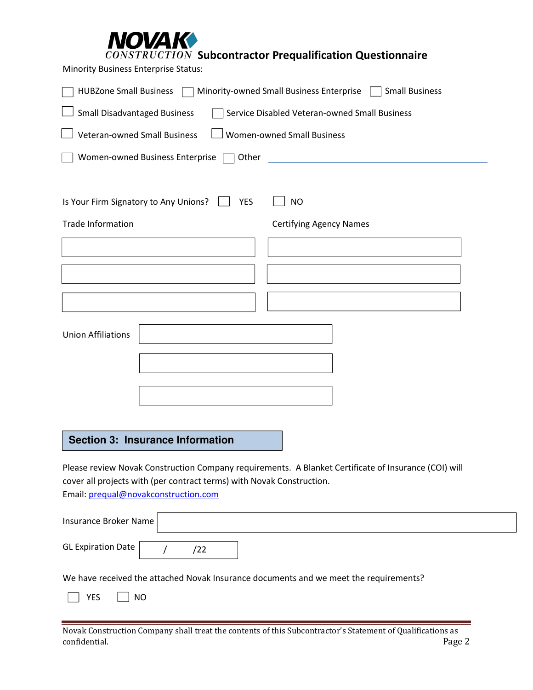### **DVAK**

**CONSTRUCTION Subcontractor Prequalification Questionnaire** 

Minority Business Enterprise Status:

| <b>HUBZone Small Business</b><br>Minority-owned Small Business Enterprise [<br><b>Small Business</b> |                                |  |  |  |  |  |  |  |
|------------------------------------------------------------------------------------------------------|--------------------------------|--|--|--|--|--|--|--|
| <b>Small Disadvantaged Business</b><br>Service Disabled Veteran-owned Small Business                 |                                |  |  |  |  |  |  |  |
| <b>Veteran-owned Small Business</b><br><b>Women-owned Small Business</b>                             |                                |  |  |  |  |  |  |  |
| Women-owned Business Enterprise<br>Other                                                             |                                |  |  |  |  |  |  |  |
|                                                                                                      |                                |  |  |  |  |  |  |  |
| Is Your Firm Signatory to Any Unions?<br><b>YES</b>                                                  | <b>NO</b>                      |  |  |  |  |  |  |  |
| <b>Trade Information</b>                                                                             | <b>Certifying Agency Names</b> |  |  |  |  |  |  |  |
|                                                                                                      |                                |  |  |  |  |  |  |  |
|                                                                                                      |                                |  |  |  |  |  |  |  |
|                                                                                                      |                                |  |  |  |  |  |  |  |
|                                                                                                      |                                |  |  |  |  |  |  |  |
| <b>Union Affiliations</b>                                                                            |                                |  |  |  |  |  |  |  |
|                                                                                                      |                                |  |  |  |  |  |  |  |
|                                                                                                      |                                |  |  |  |  |  |  |  |
|                                                                                                      |                                |  |  |  |  |  |  |  |
|                                                                                                      |                                |  |  |  |  |  |  |  |
| <b>Section 3: Insurance Information</b>                                                              |                                |  |  |  |  |  |  |  |

Please review Novak Construction Company requirements. A Blanket Certificate of Insurance (COI) will cover all projects with (per contract terms) with Novak Construction. Email: prequal@novakconstruction.com

| Insurance Broker Name |  |  |  |  |  |  |  |  |
|-----------------------|--|--|--|--|--|--|--|--|
| GL Expiration Date    |  |  |  |  |  |  |  |  |
|                       |  |  |  |  |  |  |  |  |

We have received the attached Novak Insurance documents and we meet the requirements?

 $\Box$  YES  $\Box$  NO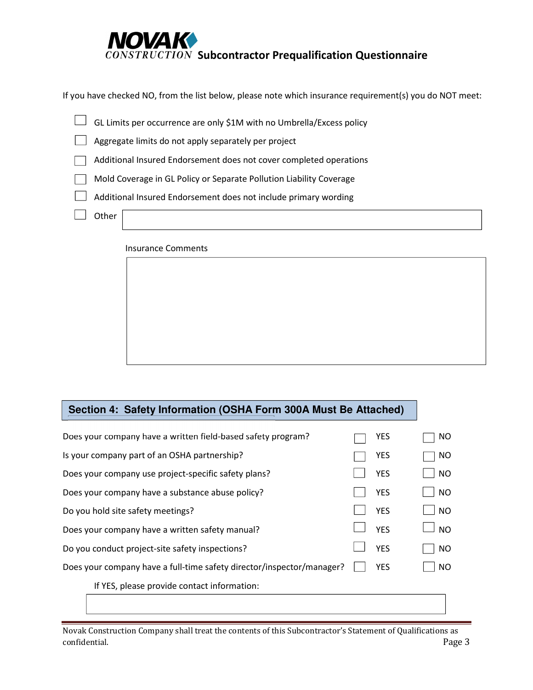

If you have checked NO, from the list below, please note which insurance requirement(s) you do NOT meet:

| GL Limits per occurrence are only \$1M with no Umbrella/Excess policy |
|-----------------------------------------------------------------------|
| Aggregate limits do not apply separately per project                  |
| Additional Insured Endorsement does not cover completed operations    |
| Mold Coverage in GL Policy or Separate Pollution Liability Coverage   |
| Additional Insured Endorsement does not include primary wording       |
| Other                                                                 |

#### Insurance Comments

### **Section 4: Safety Information (OSHA Form 300A Must Be Attached)**

| Does your company have a written field-based safety program?          | YES        | NO        |
|-----------------------------------------------------------------------|------------|-----------|
| Is your company part of an OSHA partnership?                          | <b>YES</b> | NO        |
| Does your company use project-specific safety plans?                  | <b>YES</b> | NO.       |
| Does your company have a substance abuse policy?                      | <b>YES</b> | <b>NO</b> |
| Do you hold site safety meetings?                                     | <b>YFS</b> | <b>NO</b> |
| Does your company have a written safety manual?                       | <b>YES</b> | <b>NO</b> |
| Do you conduct project-site safety inspections?                       | <b>YES</b> | NO.       |
| Does your company have a full-time safety director/inspector/manager? | <b>YES</b> | NO.       |
| If YES, please provide contact information:                           |            |           |
|                                                                       |            |           |

Novak Construction Company shall treat the contents of this Subcontractor's Statement of Qualifications as confidential. Page 3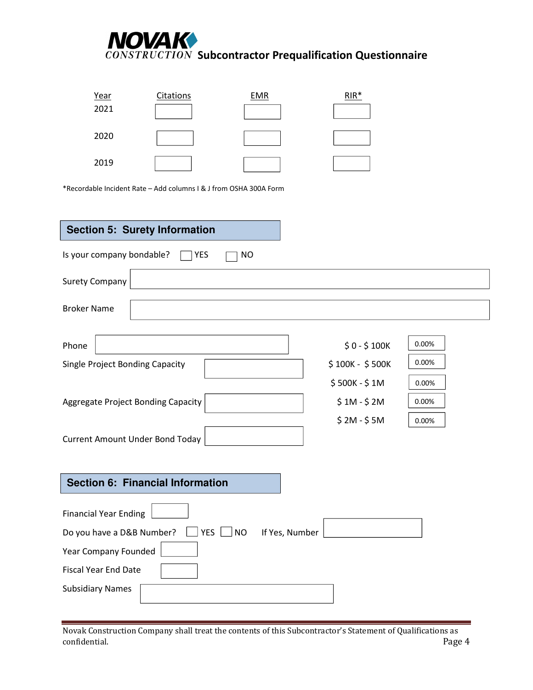## **NOVAK**<br>CONSTRUCTION Subcontractor Prequalification Questionnaire

| <u>Year</u> | Citations | <b>EMR</b> | $RIR*$ |
|-------------|-----------|------------|--------|
| 2021        |           |            |        |
|             |           |            |        |
| 2020        |           |            |        |
|             |           |            |        |
| 2019        |           |            |        |
|             |           |            |        |

\*Recordable Incident Rate – Add columns I & J from OSHA 300A Form

| <b>Section 5: Surety Information</b>                 |                 |       |
|------------------------------------------------------|-----------------|-------|
| Is your company bondable?<br><b>NO</b><br>YES        |                 |       |
| <b>Surety Company</b>                                |                 |       |
| <b>Broker Name</b>                                   |                 |       |
| Phone                                                | $$0 - $100K$    | 0.00% |
| Single Project Bonding Capacity                      | \$100K - \$500K | 0.00% |
|                                                      | \$500K - \$1M   | 0.00% |
| Aggregate Project Bonding Capacity                   | $$1M - $2M$     | 0.00% |
|                                                      | $$2M - $5M$     | 0.00% |
| <b>Current Amount Under Bond Today</b>               |                 |       |
|                                                      |                 |       |
| <b>Section 6: Financial Information</b>              |                 |       |
| <b>Financial Year Ending</b>                         |                 |       |
| <b>YES</b><br>Do you have a D&B Number?<br><b>NO</b> | If Yes, Number  |       |
| Year Company Founded                                 |                 |       |
| <b>Fiscal Year End Date</b>                          |                 |       |
| <b>Subsidiary Names</b>                              |                 |       |

Novak Construction Company shall treat the contents of this Subcontractor's Statement of Qualifications as confidential. Page 4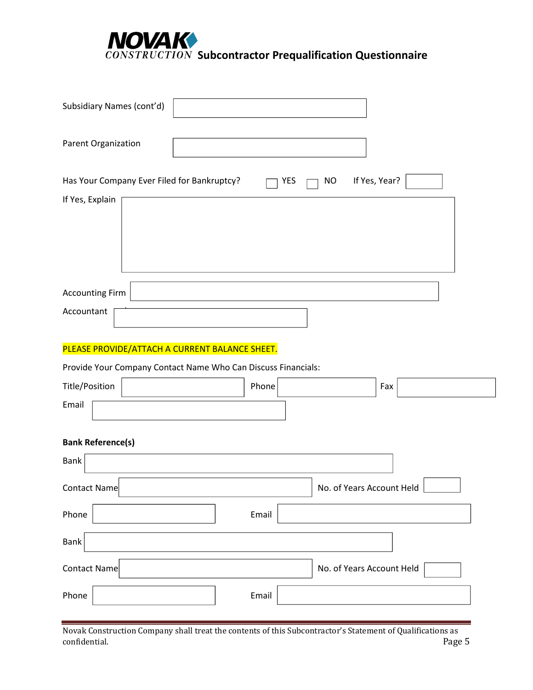# **NOVAK**<br>CONSTRUCTION Subcontractor Prequalification Questionnaire

| Subsidiary Names (cont'd)                                     |       |                            |  |
|---------------------------------------------------------------|-------|----------------------------|--|
| Parent Organization                                           |       |                            |  |
| Has Your Company Ever Filed for Bankruptcy?                   | YES   | If Yes, Year?<br><b>NO</b> |  |
| If Yes, Explain                                               |       |                            |  |
| <b>Accounting Firm</b>                                        |       |                            |  |
| Accountant                                                    |       |                            |  |
| PLEASE PROVIDE/ATTACH A CURRENT BALANCE SHEET.                |       |                            |  |
| Provide Your Company Contact Name Who Can Discuss Financials: |       |                            |  |
| Title/Position                                                | Phone | Fax                        |  |
| Email                                                         |       |                            |  |
| <b>Bank Reference(s)</b>                                      |       |                            |  |
| <b>Bank</b>                                                   |       |                            |  |
| <b>Contact Name</b>                                           |       | No. of Years Account Held  |  |
| Phone                                                         | Email |                            |  |
| Bank                                                          |       |                            |  |
| <b>Contact Name</b>                                           |       | No. of Years Account Held  |  |
| Phone                                                         | Email |                            |  |

Novak Construction Company shall treat the contents of this Subcontractor's Statement of Qualifications as confidential.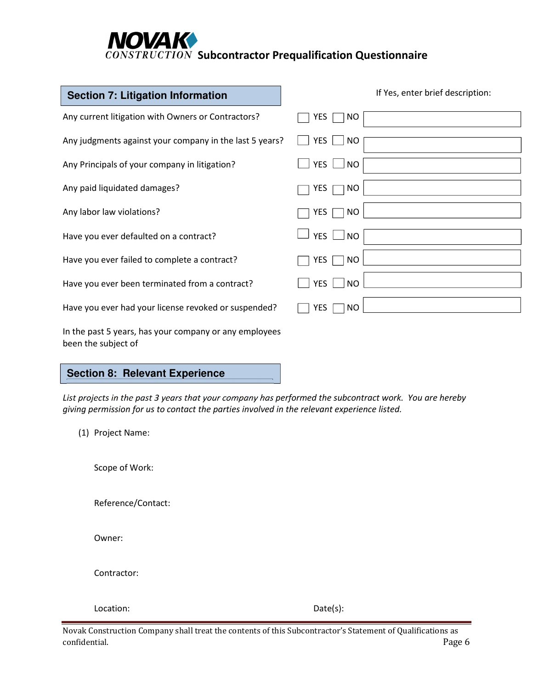### **IOVAK**  $\overline{CONSTRUCTION}$  Subcontractor Prequalification Questionnaire

| <b>Section 7: Litigation Information</b>                                      | If Yes, enter brief description: |
|-------------------------------------------------------------------------------|----------------------------------|
| Any current litigation with Owners or Contractors?                            | YES<br>NO.                       |
| Any judgments against your company in the last 5 years?                       | <b>YES</b><br><b>NO</b>          |
| Any Principals of your company in litigation?                                 | <b>YES</b><br><b>NO</b>          |
| Any paid liquidated damages?                                                  | <b>NO</b><br>YES                 |
| Any labor law violations?                                                     | YES<br>NO                        |
| Have you ever defaulted on a contract?                                        | YES  <br><b>NO</b>               |
| Have you ever failed to complete a contract?                                  | <b>NO</b><br>YES                 |
| Have you ever been terminated from a contract?                                | <b>YES</b><br><b>NO</b>          |
| Have you ever had your license revoked or suspended?                          | <b>YES</b><br>NO.                |
| In the past 5 years, has your company or any employees<br>been the subject of |                                  |

### **Section 8: Relevant Experience**

*List projects in the past 3 years that your company has performed the subcontract work. You are hereby giving permission for us to contact the parties involved in the relevant experience listed.* 

(1) Project Name:

Scope of Work:

Reference/Contact:

Owner:

Contractor:

Location: Date(s):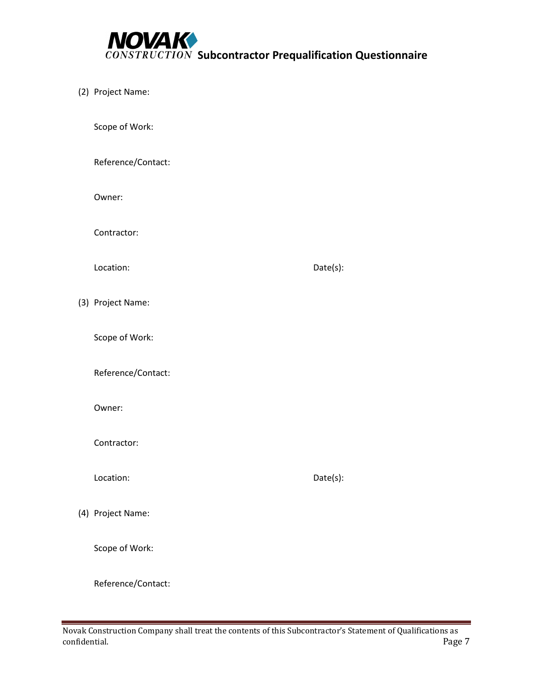

(2) Project Name:

Scope of Work:

Reference/Contact:

Owner:

Contractor:

Location: Date(s):

(3) Project Name:

Scope of Work:

Reference/Contact:

Owner:

Contractor:

Location: Date(s):

(4) Project Name:

Scope of Work:

Reference/Contact: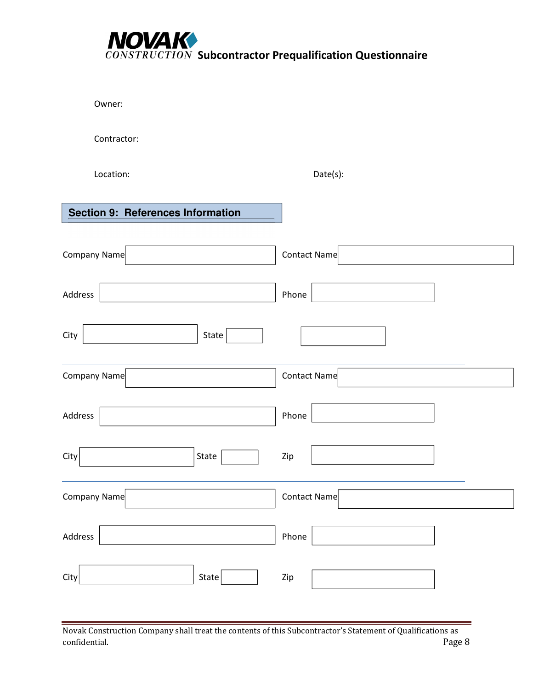

Owner:

Contractor:

Location: Date(s):

| <b>Section 9: References Information</b> |              |
|------------------------------------------|--------------|
| Company Name                             | Contact Name |
| Address                                  | Phone        |
| City<br>State                            |              |
| Company Name                             | Contact Name |
| Address                                  | Phone        |
| City<br>State                            | Zip          |
| Company Name                             | Contact Name |
| Address                                  | Phone        |
| State<br>City                            | Zip          |

Novak Construction Company shall treat the contents of this Subcontractor's Statement of Qualifications as confidential.